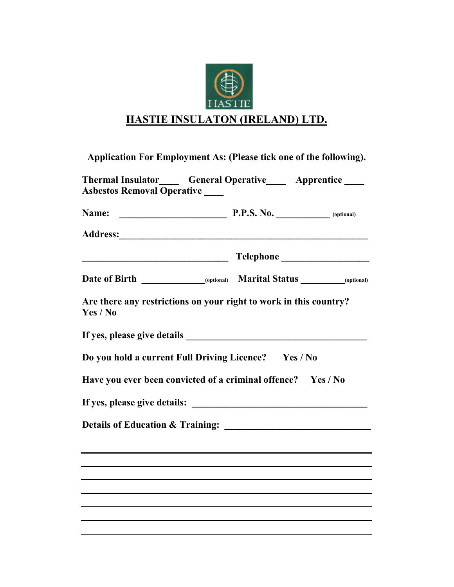

## **HASTIE INSULATON (IRELAND) LTD.**

| Application For Employment As: (Please tick one of the following).            |  |  |  |  |  |
|-------------------------------------------------------------------------------|--|--|--|--|--|
| <b>Asbestos Removal Operative</b>                                             |  |  |  |  |  |
|                                                                               |  |  |  |  |  |
|                                                                               |  |  |  |  |  |
|                                                                               |  |  |  |  |  |
|                                                                               |  |  |  |  |  |
| Are there any restrictions on your right to work in this country?<br>Yes / No |  |  |  |  |  |
|                                                                               |  |  |  |  |  |
| Do you hold a current Full Driving Licence? Yes / No                          |  |  |  |  |  |
| Have you ever been convicted of a criminal offence? Yes / No                  |  |  |  |  |  |
|                                                                               |  |  |  |  |  |
| Details of Education & Training:                                              |  |  |  |  |  |
|                                                                               |  |  |  |  |  |
|                                                                               |  |  |  |  |  |
|                                                                               |  |  |  |  |  |
|                                                                               |  |  |  |  |  |
|                                                                               |  |  |  |  |  |
|                                                                               |  |  |  |  |  |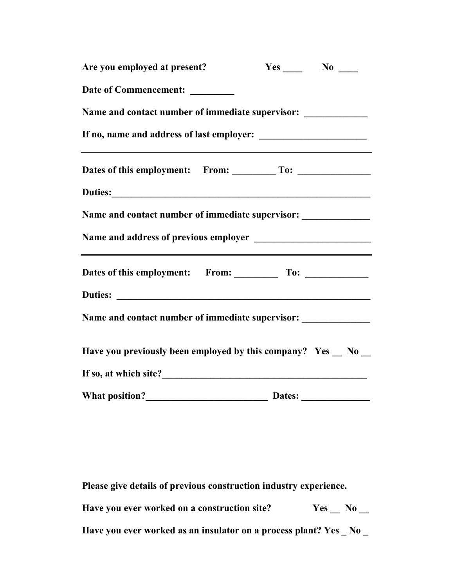| $Yes$ No $\_\_$                                                                   |
|-----------------------------------------------------------------------------------|
|                                                                                   |
| Name and contact number of immediate supervisor: _____________                    |
|                                                                                   |
|                                                                                   |
|                                                                                   |
| Name and contact number of immediate supervisor: _______________                  |
|                                                                                   |
|                                                                                   |
|                                                                                   |
| Name and contact number of immediate supervisor: ________________________________ |
| Have you previously been employed by this company? Yes _ No _                     |
|                                                                                   |
|                                                                                   |
| <u> 1989 - Johann Barbara, martxa alemaniar arg</u>                               |

**Please give details of previous construction industry experience.** 

Have you ever worked on a construction site? Yes \_\_ No \_\_

**Have you ever worked as an insulator on a process plant? Yes \_ No \_**